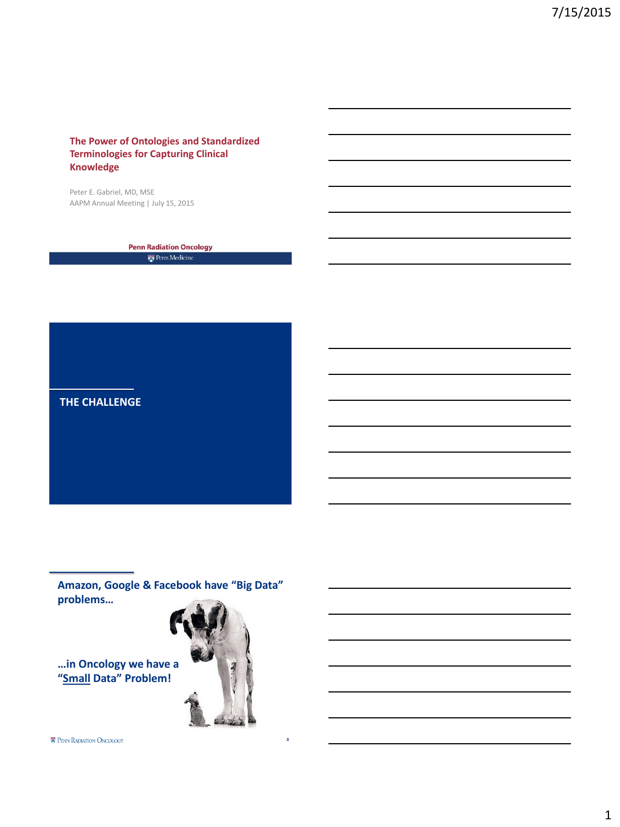## **The Power of Ontologies and Standardized Terminologies for Capturing Clinical Knowledge**

Peter E. Gabriel, MD, MSE AAPM Annual Meeting | July 15, 2015

> **Penn Radiation Oncology**  $\frac{1}{\sqrt{2}}$ Penn Medicine

**THE CHALLENGE**

**Amazon, Google & Facebook have "Big Data" problems…**

**…in Oncology we have a "Small Data" Problem!**

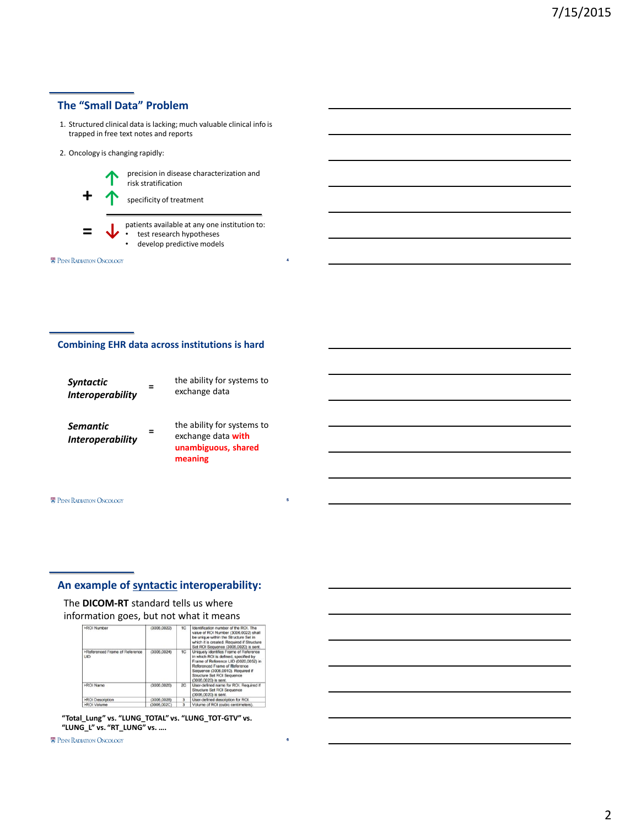# **The "Small Data" Problem**

- 1. Structured clinical data is lacking; much valuable clinical info is trapped in free text notes and reports
- 2. Oncology is changing rapidly:



**↑** precision in disease characterization and risk stratification

4

5

6

- patients available at any one institution to:
- test research hypotheses
- develop predictive models

**E** PENN RADIATION ONCOLOGY

### **Combining EHR data across institutions is hard**

| <b>Syntactic</b><br><b>Interoperability</b> |   | the ability for systems to<br>exchange data                                        |
|---------------------------------------------|---|------------------------------------------------------------------------------------|
| Semantic<br><b>Interoperability</b>         | = | the ability for systems to<br>exchange data with<br>unambiguous, shared<br>meaning |

#### **E** PENN RADIATION ONCOLOGY

## **An example of syntactic interoperability:**

### The **DICOM-RT** standard tells us where

information goes, but not what it means

| >ROI Number                                  | (3006.0022)  | 1C           | Identification number of the ROI. The<br>value of ROI Number (3006.0022) shall<br>be unique within the Structure Set in<br>which it is created. Required if Structure<br>Set ROI Sequence (3006.0020) is sent.                                       |  |  |  |
|----------------------------------------------|--------------|--------------|------------------------------------------------------------------------------------------------------------------------------------------------------------------------------------------------------------------------------------------------------|--|--|--|
| >Referenced Frame of Reference<br><b>UID</b> | (3006, 0024) | 1C           | Uniquely identifies Frame of Reference<br>in which ROI is defined, specified by<br>Frame of Reference UID (0020.0052) in<br>Referenced Frame of Reference<br>Sequence (3006.0010). Required if<br>Structure Set ROI Sequence<br>(3006.0020) is sent. |  |  |  |
| >ROI Name                                    | (3006.0026)  | 2C           | User-defined name for ROI. Required if<br>Structure Set ROI Sequence<br>(3006.0020) is sent.                                                                                                                                                         |  |  |  |
| >ROI Description                             | (3006.0028)  | $\mathbf{a}$ | User-defined description for ROI.                                                                                                                                                                                                                    |  |  |  |
| >ROI Volume                                  | (3006.002C)  |              | Volume of ROI (cubic centimeters).                                                                                                                                                                                                                   |  |  |  |
|                                              |              |              |                                                                                                                                                                                                                                                      |  |  |  |

**"Total\_Lung" vs. "LUNG\_TOTAL" vs. "LUNG\_TOT-GTV" vs. "LUNG\_L" vs. "RT\_LUNG" vs. ….**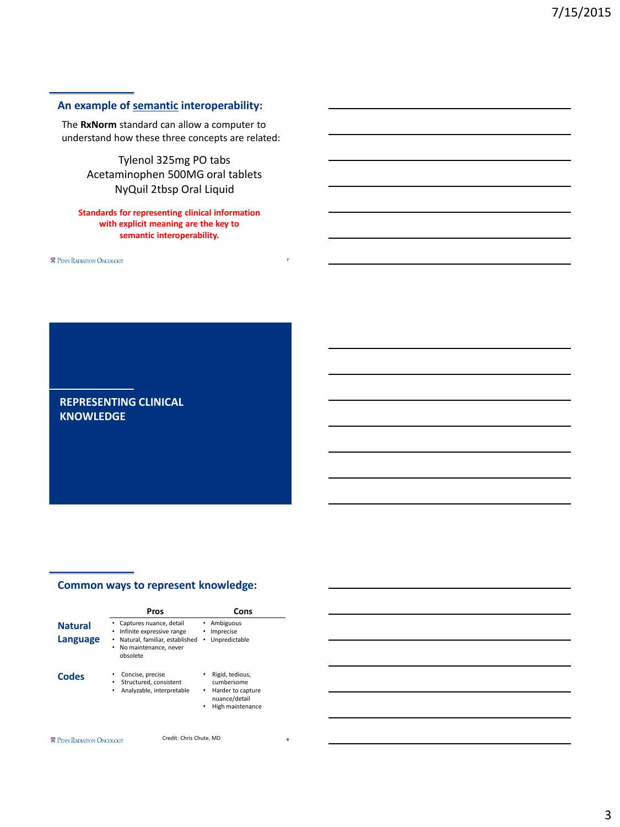### **An example of semantic interoperability:**

The **RxNorm** standard can allow a computer to understand how these three concepts are related:

> Tylenol 325mg PO tabs Acetaminophen 500MG oral tablets NyQuil 2tbsp Oral Liquid

### **Standards for representing clinical information with explicit meaning are the key to semantic interoperability.**

7

**E** PENN RADIATION ONCOLOGY

# **REPRESENTING CLINICAL KNOWLEDGE**

## **Common ways to represent knowledge:**

|                            | Pros                                                                                                                                    | Cons                                                                                              |  |  |  |
|----------------------------|-----------------------------------------------------------------------------------------------------------------------------------------|---------------------------------------------------------------------------------------------------|--|--|--|
| <b>Natural</b><br>Language | • Captures nuance, detail<br>Infinite expressive range<br>٠<br>Natural, familiar, established<br>No maintenance, never<br>٠<br>obsolete | Ambiguous<br>Imprecise<br>Unpredictable<br>٠                                                      |  |  |  |
| Codes                      | Concise, precise<br>Structured, consistent<br>٠<br>Analyzable, interpretable<br>٠                                                       | Rigid, tedious,<br>cumbersome<br>Harder to capture<br>٠<br>nuance/detail<br>High maintenance<br>٠ |  |  |  |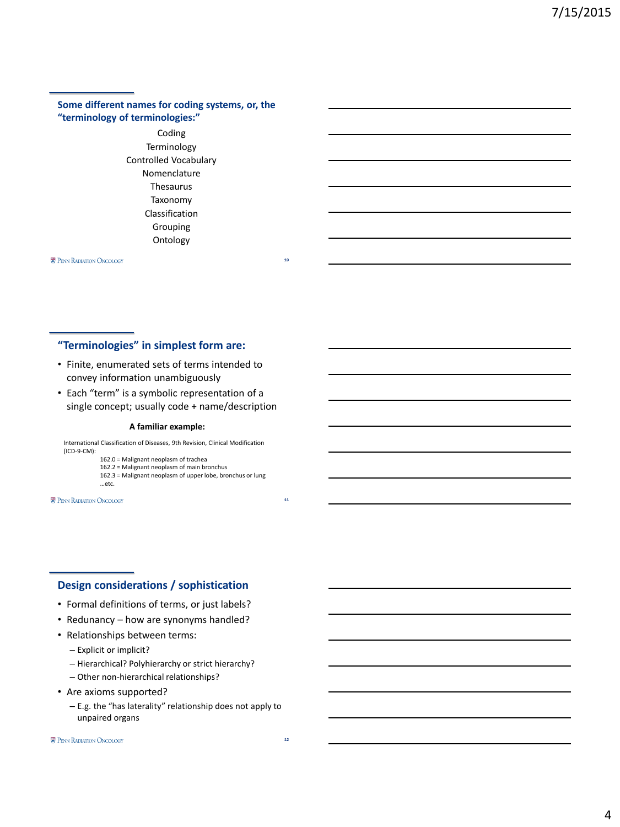### **Some different names for coding systems, or, the "terminology of terminologies:"**

Coding Terminology Controlled Vocabulary Nomenclature Thesaurus Taxonomy Classification Grouping Ontology

**E** PENN RADIATION ONCOLOGY

### **"Terminologies" in simplest form are:**

- Finite, enumerated sets of terms intended to convey information unambiguously
- Each "term" is a symbolic representation of a single concept; usually code + name/description

#### **A familiar example:**

International Classification of Diseases, 9th Revision, Clinical Modification (ICD-9-CM): 162.0 = Malignant neoplasm of trachea

162.2 = Malignant neoplasm of main bronchus

162.3 = Malignant neoplasm of upper lobe, bronchus or lung

**E** PENN RADIATION ONCOLOGY

…etc.

### **Design considerations / sophistication**

- Formal definitions of terms, or just labels?
- Redunancy how are synonyms handled?
- Relationships between terms:
	- Explicit or implicit?
	- Hierarchical? Polyhierarchy or strict hierarchy?
	- Other non-hierarchical relationships?
- Are axioms supported?
	- E.g. the "has laterality" relationship does not apply to unpaired organs

### **E** PENN RADIATION ONCOLOGY

12

10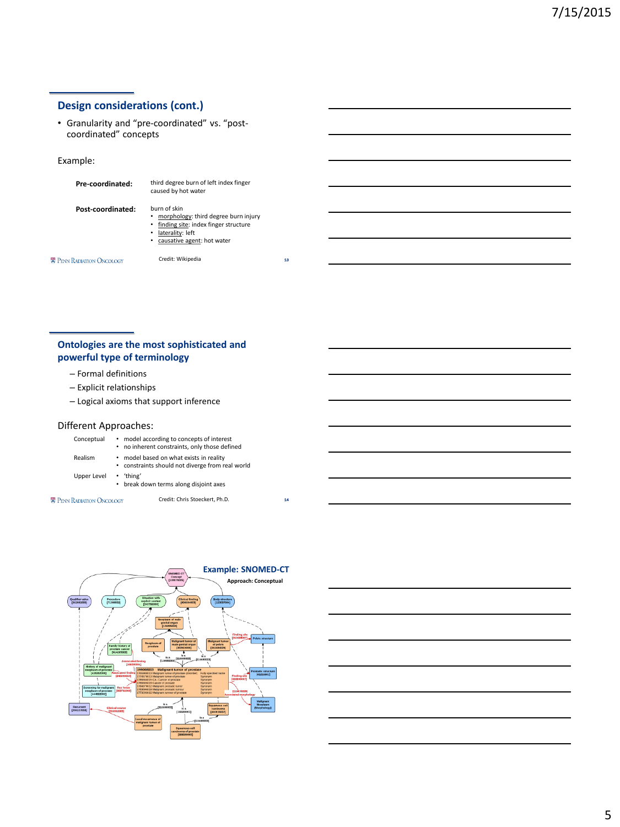# **Design considerations (cont.)**

• Granularity and "pre-coordinated" vs. "postcoordinated" concepts

### Example:

| Pre-coordinated:                 | third degree burn of left index finger<br>caused by hot water                                                                                            |
|----------------------------------|----------------------------------------------------------------------------------------------------------------------------------------------------------|
| Post-coordinated:                | burn of skin<br>morphology: third degree burn injury<br>finding site: index finger structure<br>laterality: left<br>٠<br>causative agent: hot water<br>٠ |
| <b>E PENN RADIATION ONCOLOGY</b> | Credit: Wikipedia                                                                                                                                        |

13

14

# **Ontologies are the most sophisticated and powerful type of terminology**

- Formal definitions
- Explicit relationships
- Logical axioms that support inference

### Different Approaches:

| Conceptual                       | • model according to concepts of interest<br>• no inherent constraints, only those defined  |
|----------------------------------|---------------------------------------------------------------------------------------------|
| Realism                          | • model based on what exists in reality<br>• constraints should not diverge from real world |
| <b>Upper Level</b>               | $\cdot$ 'thing'<br>• break down terms along disjoint axes                                   |
| <b>E PENN RADIATION ONCOLOGY</b> | Credit: Chris Stoeckert, Ph.D.                                                              |

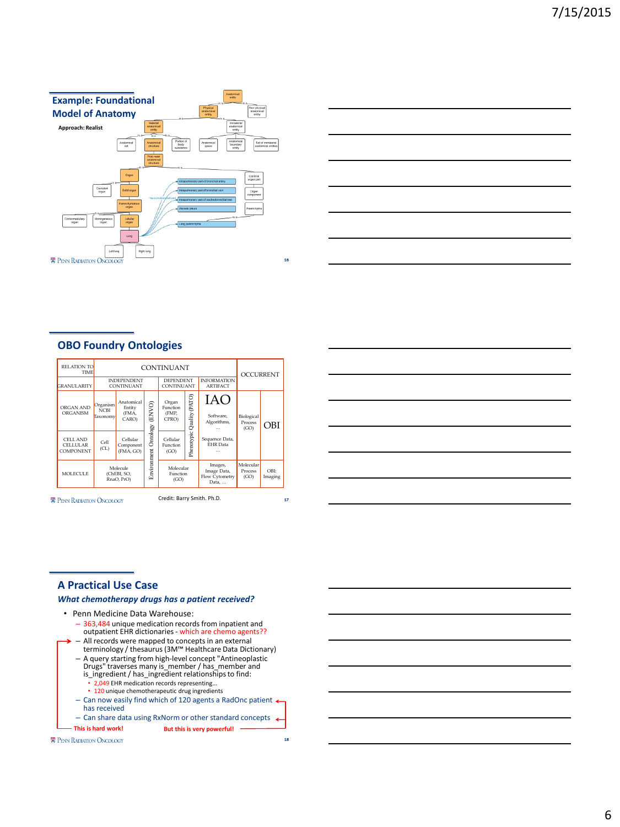



## **OBO Foundry Ontologies**

| <b>RELATION TO</b><br><b>TIME</b>                      | <b>CONTINUANT</b>                                    |                                        |                                      |                                     | <b>OCCURRENT</b>                                  |                                     |                               |     |
|--------------------------------------------------------|------------------------------------------------------|----------------------------------------|--------------------------------------|-------------------------------------|---------------------------------------------------|-------------------------------------|-------------------------------|-----|
| <b>GRANULARITY</b>                                     | <b>INDEPENDENT</b><br>CONTINUANT                     |                                        | <b>DEPENDENT</b><br>CONTINUANT       |                                     | <b>INFORMATION</b><br><b>ARTIFACT</b>             |                                     |                               |     |
| ORGAN AND<br>ORGANISM                                  | Organism<br><b>NCBI</b><br>Taxonomy                  | Anatomical<br>Entity<br>(FMA,<br>CARO) | (ENVO)                               | Organ<br>Function<br>(FMP.<br>CPRO) | (PATO)<br>Quality                                 | IAO<br>Software,<br>Algorithms,<br> | Biological<br>Process<br>(GO) | OBI |
| <b>CELL AND</b><br><b>CELLULAR</b><br><b>COMPONENT</b> | Cell<br>(CL)                                         | Cellular<br>Component<br>(FMA, GO)     | Ontology                             | Cellular<br>Function<br>(GO)        | Phenotypic                                        | Sequence Data,<br><b>EHR</b> Data   |                               |     |
| <b>MOLECULE</b>                                        | Environment<br>Molecule<br>(ChEBI, SO,<br>RnaO, PrO) |                                        | Molecular<br><b>Function</b><br>(GO) |                                     | Images,<br>Image Data,<br>Flow Cytometry<br>Data, | Molecular<br>Process<br>(GO)        | OBI:<br>Imaging               |     |

**E** PENN RADIATION ONCOLOGY

Credit: Barry Smith. Ph.D.

17

18



### **A Practical Use Case**

### *What chemotherapy drugs has a patient received?*

• Penn Medicine Data Warehouse: – 363,484 unique medication records from inpatient and outpatient EHR dictionaries - which are chemo agents?? – All records were mapped to concepts in an external terminology / thesaurus (3M™ Healthcare Data Dictionary) – A query starting from high-level concept "Antineoplastic Drugs" traverses many is\_member / has\_member and is\_ingredient / has\_ingredient relationships to find: • 2,049 EHR medication records representing... • 120 unique chemotherapeutic drug ingredients - Can now easily find which of 120 agents a RadOnc patient < has received – Can share data using RxNorm or other standard concepts **This is hard work! But this is very powerful!**

**E** PENN RADIATION ONCOLOGY